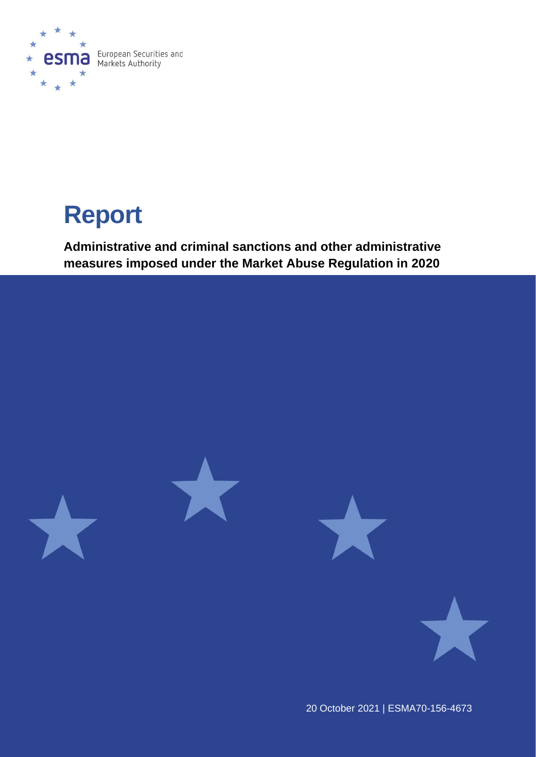

# **Report**

**Administrative and criminal sanctions and other administrative measures imposed under the Market Abuse Regulation in 2020**



20 October 2021 | ESMA70-156-4673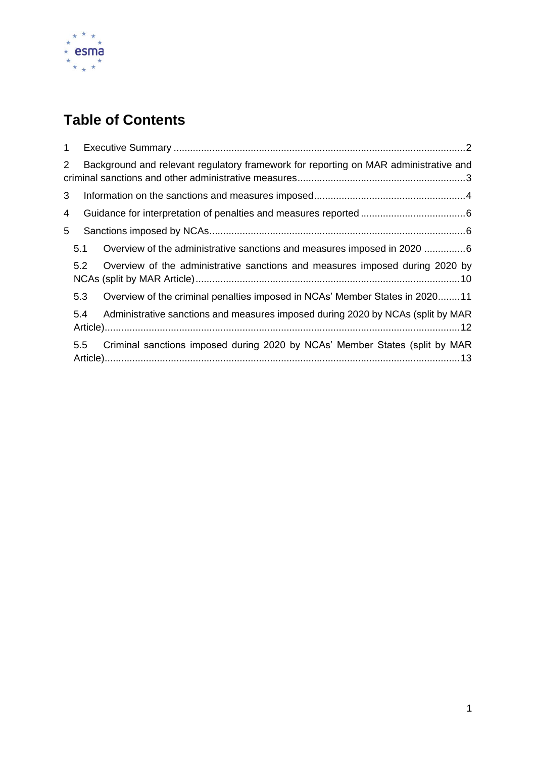

# **Table of Contents**

| $\mathbf{1}$   |                                                                                      |                                                                                 |  |  |  |  |  |  |  |  |  |
|----------------|--------------------------------------------------------------------------------------|---------------------------------------------------------------------------------|--|--|--|--|--|--|--|--|--|
| $\overline{2}$ | Background and relevant regulatory framework for reporting on MAR administrative and |                                                                                 |  |  |  |  |  |  |  |  |  |
| 3              |                                                                                      |                                                                                 |  |  |  |  |  |  |  |  |  |
| 4              |                                                                                      |                                                                                 |  |  |  |  |  |  |  |  |  |
| 5              |                                                                                      |                                                                                 |  |  |  |  |  |  |  |  |  |
|                | 5.1                                                                                  | Overview of the administrative sanctions and measures imposed in 2020 6         |  |  |  |  |  |  |  |  |  |
|                | 5.2                                                                                  | Overview of the administrative sanctions and measures imposed during 2020 by    |  |  |  |  |  |  |  |  |  |
|                | 5.3                                                                                  | Overview of the criminal penalties imposed in NCAs' Member States in 202011     |  |  |  |  |  |  |  |  |  |
|                | 5.4                                                                                  | Administrative sanctions and measures imposed during 2020 by NCAs (split by MAR |  |  |  |  |  |  |  |  |  |
|                | 5.5 <sub>1</sub>                                                                     | Criminal sanctions imposed during 2020 by NCAs' Member States (split by MAR     |  |  |  |  |  |  |  |  |  |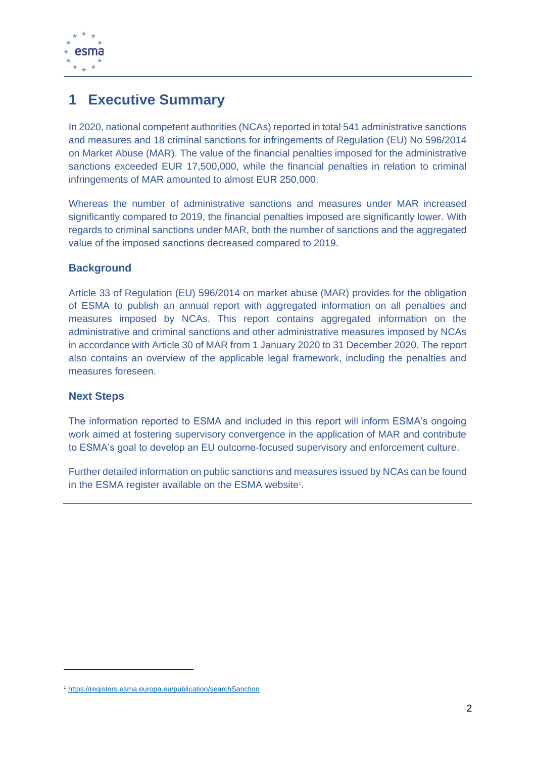

## <span id="page-2-0"></span>**1 Executive Summary**

In 2020, national competent authorities (NCAs) reported in total 541 administrative sanctions and measures and 18 criminal sanctions for infringements of Regulation (EU) No 596/2014 on Market Abuse (MAR). The value of the financial penalties imposed for the administrative sanctions exceeded EUR 17,500,000, while the financial penalties in relation to criminal infringements of MAR amounted to almost EUR 250,000.

Whereas the number of administrative sanctions and measures under MAR increased significantly compared to 2019, the financial penalties imposed are significantly lower. With regards to criminal sanctions under MAR, both the number of sanctions and the aggregated value of the imposed sanctions decreased compared to 2019.

#### **Background**

Article 33 of Regulation (EU) 596/2014 on market abuse (MAR) provides for the obligation of ESMA to publish an annual report with aggregated information on all penalties and measures imposed by NCAs. This report contains aggregated information on the administrative and criminal sanctions and other administrative measures imposed by NCAs in accordance with Article 30 of MAR from 1 January 2020 to 31 December 2020. The report also contains an overview of the applicable legal framework, including the penalties and measures foreseen.

#### **Next Steps**

The information reported to ESMA and included in this report will inform ESMA's ongoing work aimed at fostering supervisory convergence in the application of MAR and contribute to ESMA's goal to develop an EU outcome-focused supervisory and enforcement culture.

Further detailed information on public sanctions and measures issued by NCAs can be found in the ESMA register available on the ESMA website<sup>1</sup>.

<sup>1</sup> <https://registers.esma.europa.eu/publication/searchSanction>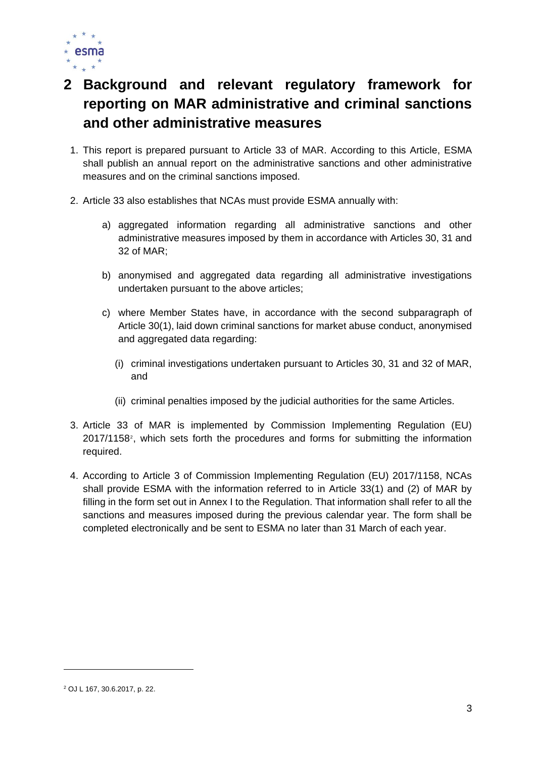

# <span id="page-3-0"></span>**2 Background and relevant regulatory framework for reporting on MAR administrative and criminal sanctions and other administrative measures**

- 1. This report is prepared pursuant to Article 33 of MAR. According to this Article, ESMA shall publish an annual report on the administrative sanctions and other administrative measures and on the criminal sanctions imposed.
- 2. Article 33 also establishes that NCAs must provide ESMA annually with:
	- a) aggregated information regarding all administrative sanctions and other administrative measures imposed by them in accordance with Articles 30, 31 and 32 of MAR;
	- b) anonymised and aggregated data regarding all administrative investigations undertaken pursuant to the above articles;
	- c) where Member States have, in accordance with the second subparagraph of Article 30(1), laid down criminal sanctions for market abuse conduct, anonymised and aggregated data regarding:
		- (i) criminal investigations undertaken pursuant to Articles 30, 31 and 32 of MAR, and
		- (ii) criminal penalties imposed by the judicial authorities for the same Articles.
- 3. Article 33 of MAR is implemented by Commission Implementing Regulation (EU) 2017/1158<sup>2</sup> , which sets forth the procedures and forms for submitting the information required.
- 4. According to Article 3 of Commission Implementing Regulation (EU) 2017/1158, NCAs shall provide ESMA with the information referred to in Article 33(1) and (2) of MAR by filling in the form set out in Annex I to the Regulation. That information shall refer to all the sanctions and measures imposed during the previous calendar year. The form shall be completed electronically and be sent to ESMA no later than 31 March of each year.

<sup>2</sup> OJ L 167, 30.6.2017, p. 22.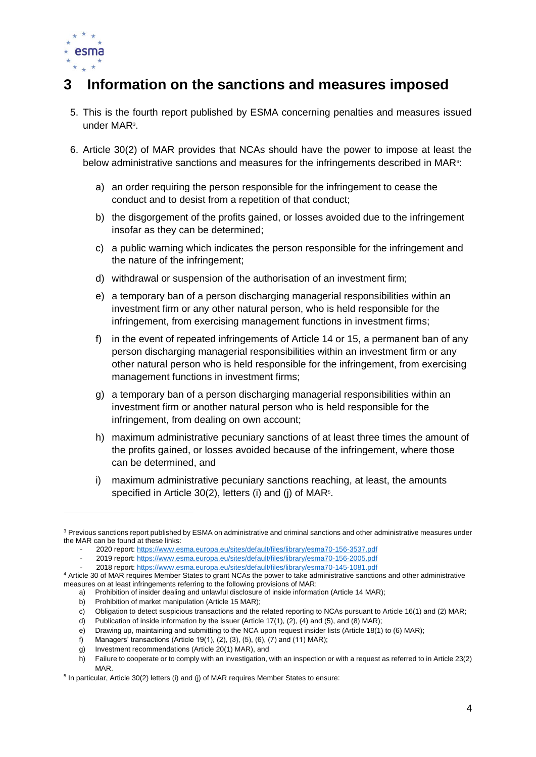

## <span id="page-4-0"></span>**3 Information on the sanctions and measures imposed**

- 5. This is the fourth report published by ESMA concerning penalties and measures issued under MAR<sup>3</sup>.
- 6. Article 30(2) of MAR provides that NCAs should have the power to impose at least the below administrative sanctions and measures for the infringements described in MAR<sup>4</sup>:
	- a) an order requiring the person responsible for the infringement to cease the conduct and to desist from a repetition of that conduct;
	- b) the disgorgement of the profits gained, or losses avoided due to the infringement insofar as they can be determined;
	- c) a public warning which indicates the person responsible for the infringement and the nature of the infringement;
	- d) withdrawal or suspension of the authorisation of an investment firm;
	- e) a temporary ban of a person discharging managerial responsibilities within an investment firm or any other natural person, who is held responsible for the infringement, from exercising management functions in investment firms;
	- f) in the event of repeated infringements of Article 14 or 15, a permanent ban of any person discharging managerial responsibilities within an investment firm or any other natural person who is held responsible for the infringement, from exercising management functions in investment firms;
	- g) a temporary ban of a person discharging managerial responsibilities within an investment firm or another natural person who is held responsible for the infringement, from dealing on own account;
	- h) maximum administrative pecuniary sanctions of at least three times the amount of the profits gained, or losses avoided because of the infringement, where those can be determined, and
	- i) maximum administrative pecuniary sanctions reaching, at least, the amounts specified in Article 30(2), letters (i) and (j) of MAR<sup>5</sup>.

e) Drawing up, maintaining and submitting to the NCA upon request insider lists (Article 18(1) to (6) MAR);

<sup>&</sup>lt;sup>3</sup> Previous sanctions report published by ESMA on administrative and criminal sanctions and other administrative measures under the MAR can be found at these links:

<sup>-</sup> 2020 report: [https://www.esma.europa.eu/sites/default/files/library/esma70-156-3537.pdf](https://www.esma.europa.eu/sites/default/files/library/esma70-156-3537_annual_report_on_mar_administrative_and_criminal_sanctions_2020.pdf)

<sup>-</sup> 2019 report: [https://www.esma.europa.eu/sites/default/files/library/esma70-156-2005.pdf](https://www.esma.europa.eu/sites/default/files/library/esma70-156-2005_mar_article_33_report_sanctions.pdf)

<sup>-</sup> 2018 report: [https://www.esma.europa.eu/sites/default/files/library/esma70-145-1081.pdf](https://www.esma.europa.eu/sites/default/files/library/esma70-145-1081_mar_article_33_report_sanctions.pdf) <sup>4</sup> Article 30 of MAR requires Member States to grant NCAs the power to take administrative sanctions and other administrative measures on at least infringements referring to the following provisions of MAR:

a) Prohibition of insider dealing and unlawful disclosure of inside information (Article 14 MAR);

b) Prohibition of market manipulation (Article 15 MAR);

c) Obligation to detect suspicious transactions and the related reporting to NCAs pursuant to Article 16(1) and (2) MAR;

d) Publication of inside information by the issuer (Article 17(1), (2), (4) and (5), and (8) MAR);

f) Managers' transactions (Article 19(1), (2), (3), (5), (6), (7) and (11) MAR);

g) Investment recommendations (Article 20(1) MAR), and

h) Failure to cooperate or to comply with an investigation, with an inspection or with a request as referred to in Article 23(2) MAR.

<sup>&</sup>lt;sup>5</sup> In particular, Article 30(2) letters (i) and (j) of MAR requires Member States to ensure: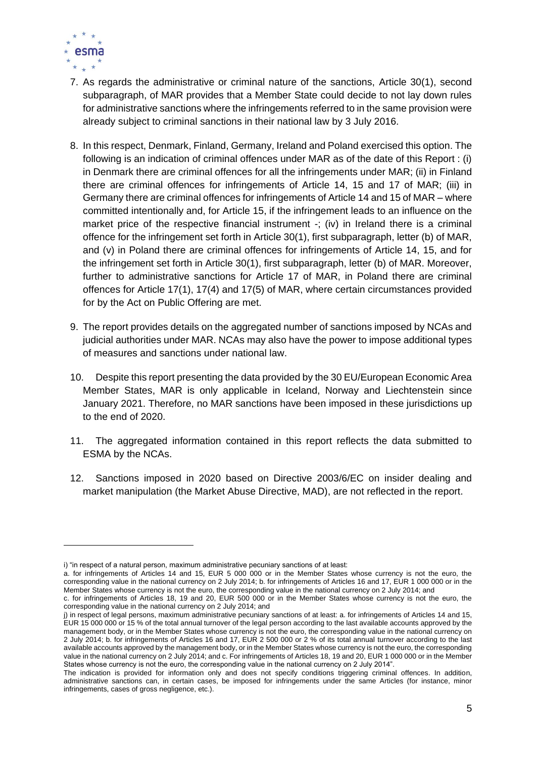

- 7. As regards the administrative or criminal nature of the sanctions, Article 30(1), second subparagraph, of MAR provides that a Member State could decide to not lay down rules for administrative sanctions where the infringements referred to in the same provision were already subject to criminal sanctions in their national law by 3 July 2016.
- 8. In this respect, Denmark, Finland, Germany, Ireland and Poland exercised this option. The following is an indication of criminal offences under MAR as of the date of this Report : (i) in Denmark there are criminal offences for all the infringements under MAR; (ii) in Finland there are criminal offences for infringements of Article 14, 15 and 17 of MAR; (iii) in Germany there are criminal offences for infringements of Article 14 and 15 of MAR – where committed intentionally and, for Article 15, if the infringement leads to an influence on the market price of the respective financial instrument -; (iv) in Ireland there is a criminal offence for the infringement set forth in Article 30(1), first subparagraph, letter (b) of MAR, and (v) in Poland there are criminal offences for infringements of Article 14, 15, and for the infringement set forth in Article 30(1), first subparagraph, letter (b) of MAR. Moreover, further to administrative sanctions for Article 17 of MAR, in Poland there are criminal offences for Article 17(1), 17(4) and 17(5) of MAR, where certain circumstances provided for by the Act on Public Offering are met.
- 9. The report provides details on the aggregated number of sanctions imposed by NCAs and judicial authorities under MAR. NCAs may also have the power to impose additional types of measures and sanctions under national law.
- 10. Despite this report presenting the data provided by the 30 EU/European Economic Area Member States, MAR is only applicable in Iceland, Norway and Liechtenstein since January 2021. Therefore, no MAR sanctions have been imposed in these jurisdictions up to the end of 2020.
- 11. The aggregated information contained in this report reflects the data submitted to ESMA by the NCAs.
- 12. Sanctions imposed in 2020 based on Directive 2003/6/EC on insider dealing and market manipulation (the Market Abuse Directive, MAD), are not reflected in the report.

i) "in respect of a natural person, maximum administrative pecuniary sanctions of at least:

a. for infringements of Articles 14 and 15, EUR 5 000 000 or in the Member States whose currency is not the euro, the corresponding value in the national currency on 2 July 2014; b. for infringements of Articles 16 and 17, EUR 1 000 000 or in the Member States whose currency is not the euro, the corresponding value in the national currency on 2 July 2014; and

c. for infringements of Articles 18, 19 and 20, EUR 500 000 or in the Member States whose currency is not the euro, the corresponding value in the national currency on 2 July 2014; and

j) in respect of legal persons, maximum administrative pecuniary sanctions of at least: a. for infringements of Articles 14 and 15, EUR 15 000 000 or 15 % of the total annual turnover of the legal person according to the last available accounts approved by the management body, or in the Member States whose currency is not the euro, the corresponding value in the national currency on 2 July 2014; b. for infringements of Articles 16 and 17, EUR 2 500 000 or 2 % of its total annual turnover according to the last available accounts approved by the management body, or in the Member States whose currency is not the euro, the corresponding value in the national currency on 2 July 2014; and c. For infringements of Articles 18, 19 and 20, EUR 1 000 000 or in the Member States whose currency is not the euro, the corresponding value in the national currency on 2 July 2014".

The indication is provided for information only and does not specify conditions triggering criminal offences. In addition, administrative sanctions can, in certain cases, be imposed for infringements under the same Articles (for instance, minor infringements, cases of gross negligence, etc.).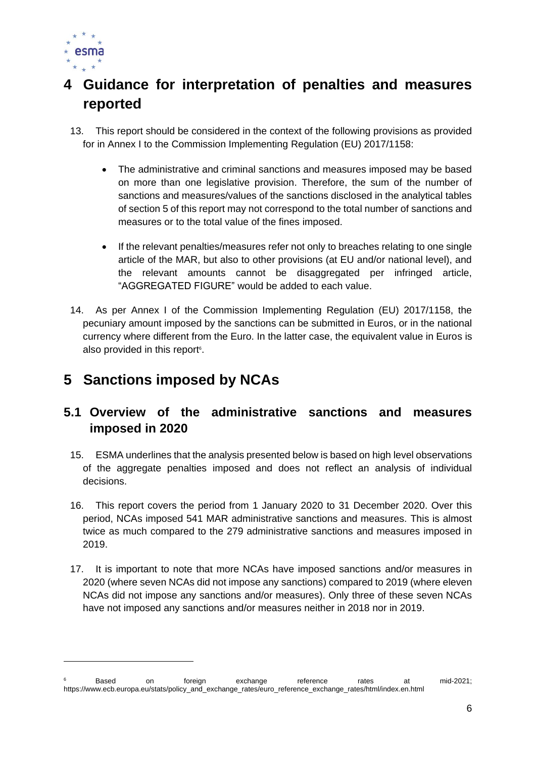

# <span id="page-6-0"></span>**4 Guidance for interpretation of penalties and measures reported**

- 13. This report should be considered in the context of the following provisions as provided for in Annex I to the Commission Implementing Regulation (EU) 2017/1158:
	- The administrative and criminal sanctions and measures imposed may be based on more than one legislative provision. Therefore, the sum of the number of sanctions and measures/values of the sanctions disclosed in the analytical tables of section 5 of this report may not correspond to the total number of sanctions and measures or to the total value of the fines imposed.
	- If the relevant penalties/measures refer not only to breaches relating to one single article of the MAR, but also to other provisions (at EU and/or national level), and the relevant amounts cannot be disaggregated per infringed article, "AGGREGATED FIGURE" would be added to each value.
- 14. As per Annex I of the Commission Implementing Regulation (EU) 2017/1158, the pecuniary amount imposed by the sanctions can be submitted in Euros, or in the national currency where different from the Euro. In the latter case, the equivalent value in Euros is also provided in this report<sup>6</sup>.

# <span id="page-6-1"></span>**5 Sanctions imposed by NCAs**

#### <span id="page-6-2"></span>**5.1 Overview of the administrative sanctions and measures imposed in 2020**

- 15. ESMA underlines that the analysis presented below is based on high level observations of the aggregate penalties imposed and does not reflect an analysis of individual decisions.
- 16. This report covers the period from 1 January 2020 to 31 December 2020. Over this period, NCAs imposed 541 MAR administrative sanctions and measures. This is almost twice as much compared to the 279 administrative sanctions and measures imposed in 2019.
- 17. It is important to note that more NCAs have imposed sanctions and/or measures in 2020 (where seven NCAs did not impose any sanctions) compared to 2019 (where eleven NCAs did not impose any sanctions and/or measures). Only three of these seven NCAs have not imposed any sanctions and/or measures neither in 2018 nor in 2019.

<sup>&</sup>lt;sup>6</sup> Based on foreign exchange reference rates at mid-2021; https://www.ecb.europa.eu/stats/policy\_and\_exchange\_rates/euro\_reference\_exchange\_rates/html/index.en.html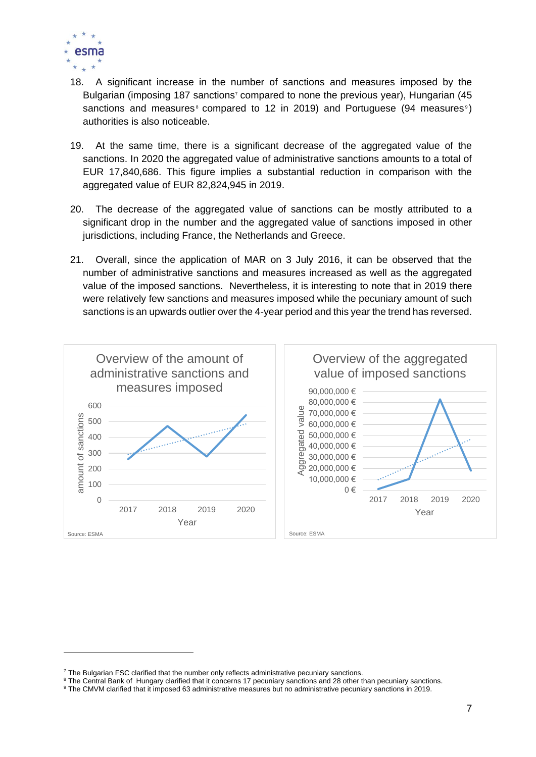

- 18. A significant increase in the number of sanctions and measures imposed by the Bulgarian (imposing 187 sanctions<sup>7</sup> compared to none the previous year), Hungarian (45 sanctions and measures  $\epsilon$  compared to 12 in 2019) and Portuguese (94 measures  $\epsilon$ ) authorities is also noticeable.
- 19. At the same time, there is a significant decrease of the aggregated value of the sanctions. In 2020 the aggregated value of administrative sanctions amounts to a total of EUR 17,840,686. This figure implies a substantial reduction in comparison with the aggregated value of EUR 82,824,945 in 2019.
- 20. The decrease of the aggregated value of sanctions can be mostly attributed to a significant drop in the number and the aggregated value of sanctions imposed in other jurisdictions, including France, the Netherlands and Greece.
- 21. Overall, since the application of MAR on 3 July 2016, it can be observed that the number of administrative sanctions and measures increased as well as the aggregated value of the imposed sanctions. Nevertheless, it is interesting to note that in 2019 there were relatively few sanctions and measures imposed while the pecuniary amount of such sanctions is an upwards outlier over the 4-year period and this year the trend has reversed.



 $7$  The Bulgarian FSC clarified that the number only reflects administrative pecuniary sanctions.

<sup>&</sup>lt;sup>8</sup> The Central Bank of Hungary clarified that it concerns 17 pecuniary sanctions and 28 other than pecuniary sanctions.

<sup>9</sup> The CMVM clarified that it imposed 63 administrative measures but no administrative pecuniary sanctions in 2019.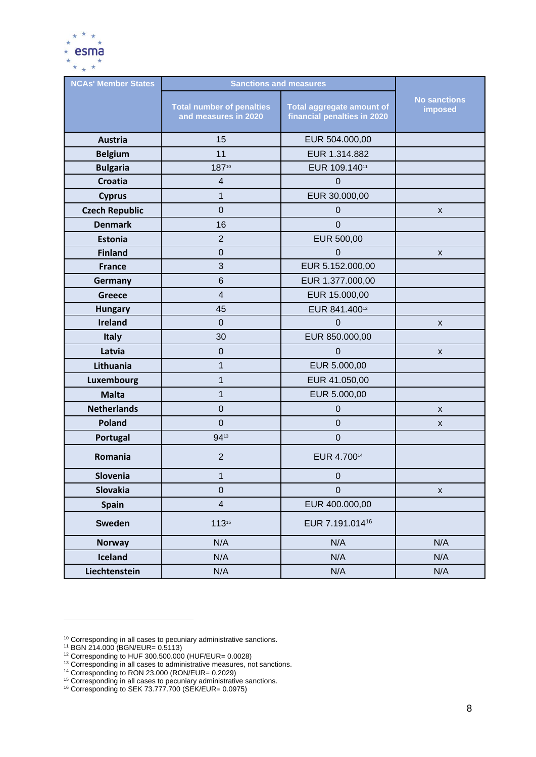

| <b>NCAs' Member States</b> | <b>Sanctions and measures</b>                            |                                                          |                                |  |
|----------------------------|----------------------------------------------------------|----------------------------------------------------------|--------------------------------|--|
|                            | <b>Total number of penalties</b><br>and measures in 2020 | Total aggregate amount of<br>financial penalties in 2020 | <b>No sanctions</b><br>imposed |  |
| <b>Austria</b>             | 15                                                       | EUR 504.000,00                                           |                                |  |
| <b>Belgium</b>             | 11                                                       | EUR 1.314.882                                            |                                |  |
| <b>Bulgaria</b>            | 18710                                                    | EUR 109.14011                                            |                                |  |
| <b>Croatia</b>             | 4                                                        | $\mathbf 0$                                              |                                |  |
| <b>Cyprus</b>              | 1                                                        | EUR 30.000,00                                            |                                |  |
| <b>Czech Republic</b>      | $\overline{0}$                                           | $\mathbf 0$                                              | X                              |  |
| <b>Denmark</b>             | 16                                                       | $\mathbf 0$                                              |                                |  |
| Estonia                    | $\overline{2}$                                           | EUR 500,00                                               |                                |  |
| <b>Finland</b>             | $\overline{0}$                                           | $\mathbf 0$                                              | X                              |  |
| <b>France</b>              | 3                                                        | EUR 5.152.000,00                                         |                                |  |
| Germany                    | 6                                                        | EUR 1.377.000,00                                         |                                |  |
| <b>Greece</b>              | $\overline{\mathbf{4}}$                                  | EUR 15.000,00                                            |                                |  |
| <b>Hungary</b>             | 45                                                       | EUR 841.40012                                            |                                |  |
| <b>Ireland</b>             | $\mathbf 0$                                              | $\mathbf 0$                                              | X                              |  |
| <b>Italy</b>               | 30                                                       | EUR 850.000,00                                           |                                |  |
| Latvia                     | $\pmb{0}$                                                | $\overline{0}$                                           | X                              |  |
| Lithuania                  | $\mathbf{1}$                                             | EUR 5.000,00                                             |                                |  |
| <b>Luxembourg</b>          | 1                                                        | EUR 41.050,00                                            |                                |  |
| <b>Malta</b>               | 1                                                        | EUR 5.000,00                                             |                                |  |
| <b>Netherlands</b>         | $\mathbf 0$                                              | $\boldsymbol{0}$                                         | X                              |  |
| <b>Poland</b>              | $\mathbf 0$                                              | $\boldsymbol{0}$                                         | $\pmb{\mathsf{X}}$             |  |
| Portugal                   | 9413                                                     | $\mathbf 0$                                              |                                |  |
| Romania                    | $\overline{2}$                                           | EUR 4.70014                                              |                                |  |
| Slovenia                   | $\mathbf{1}$                                             | $\boldsymbol{0}$                                         |                                |  |
| <b>Slovakia</b>            | $\mathbf 0$                                              | $\pmb{0}$                                                | $\pmb{\mathsf{X}}$             |  |
| <b>Spain</b>               | $\overline{\mathbf{4}}$                                  | EUR 400.000,00                                           |                                |  |
| <b>Sweden</b>              | 11315                                                    | EUR 7.191.014 <sup>16</sup>                              |                                |  |
| <b>Norway</b>              | N/A                                                      | N/A                                                      | N/A                            |  |
| Iceland                    | N/A                                                      | N/A                                                      | N/A                            |  |
| Liechtenstein              | N/A                                                      | N/A                                                      | N/A                            |  |

 $10$  Corresponding in all cases to pecuniary administrative sanctions.

<sup>11</sup> BGN 214.000 (BGN/EUR= 0.5113)

<sup>12</sup> Corresponding to HUF 300.500.000 (HUF/EUR= 0.0028)

<sup>&</sup>lt;sup>13</sup> Corresponding in all cases to administrative measures, not sanctions.

<sup>14</sup> Corresponding to RON 23.000 (RON/EUR= 0.2029)

<sup>&</sup>lt;sup>15</sup> Corresponding in all cases to pecuniary administrative sanctions.

<sup>16</sup> Corresponding to SEK 73.777.700 (SEK/EUR= 0.0975)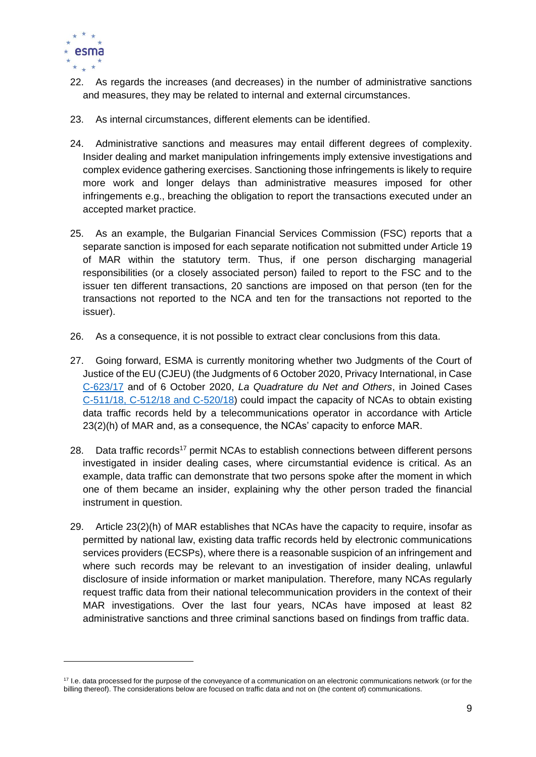

- 22. As regards the increases (and decreases) in the number of administrative sanctions and measures, they may be related to internal and external circumstances.
- 23. As internal circumstances, different elements can be identified.
- 24. Administrative sanctions and measures may entail different degrees of complexity. Insider dealing and market manipulation infringements imply extensive investigations and complex evidence gathering exercises. Sanctioning those infringements is likely to require more work and longer delays than administrative measures imposed for other infringements e.g., breaching the obligation to report the transactions executed under an accepted market practice.
- 25. As an example, the Bulgarian Financial Services Commission (FSC) reports that a separate sanction is imposed for each separate notification not submitted under Article 19 of MAR within the statutory term. Thus, if one person discharging managerial responsibilities (or a closely associated person) failed to report to the FSC and to the issuer ten different transactions, 20 sanctions are imposed on that person (ten for the transactions not reported to the NCA and ten for the transactions not reported to the issuer).
- 26. As a consequence, it is not possible to extract clear conclusions from this data.
- 27. Going forward, ESMA is currently monitoring whether two Judgments of the Court of Justice of the EU (CJEU) (the Judgments of 6 October 2020, Privacy International, in Case [C-623/17](http://curia.europa.eu/juris/document/document.jsf?text=&docid=232083&pageIndex=0&doclang=EN&mode=lst&dir=&occ=first&part=1&cid=17494171) and of 6 October 2020, *La Quadrature du Net and Others*, in Joined Cases [C-511/18, C-512/18 and C-520/18\)](http://curia.europa.eu/juris/document/document.jsf;jsessionid=809E20C62EF868037A409162BCC6B9CE?text=&docid=232084&pageIndex=0&doclang=EN&mode=req&dir=&occ=first&part=1&cid=16667839) could impact the capacity of NCAs to obtain existing data traffic records held by a telecommunications operator in accordance with Article 23(2)(h) of MAR and, as a consequence, the NCAs' capacity to enforce MAR.
- 28. Data traffic records<sup>17</sup> permit NCAs to establish connections between different persons investigated in insider dealing cases, where circumstantial evidence is critical. As an example, data traffic can demonstrate that two persons spoke after the moment in which one of them became an insider, explaining why the other person traded the financial instrument in question.
- 29. Article 23(2)(h) of MAR establishes that NCAs have the capacity to require, insofar as permitted by national law, existing data traffic records held by electronic communications services providers (ECSPs), where there is a reasonable suspicion of an infringement and where such records may be relevant to an investigation of insider dealing, unlawful disclosure of inside information or market manipulation. Therefore, many NCAs regularly request traffic data from their national telecommunication providers in the context of their MAR investigations. Over the last four years, NCAs have imposed at least 82 administrative sanctions and three criminal sanctions based on findings from traffic data.

<sup>&</sup>lt;sup>17</sup> I.e. data processed for the purpose of the conveyance of a communication on an electronic communications network (or for the billing thereof). The considerations below are focused on traffic data and not on (the content of) communications.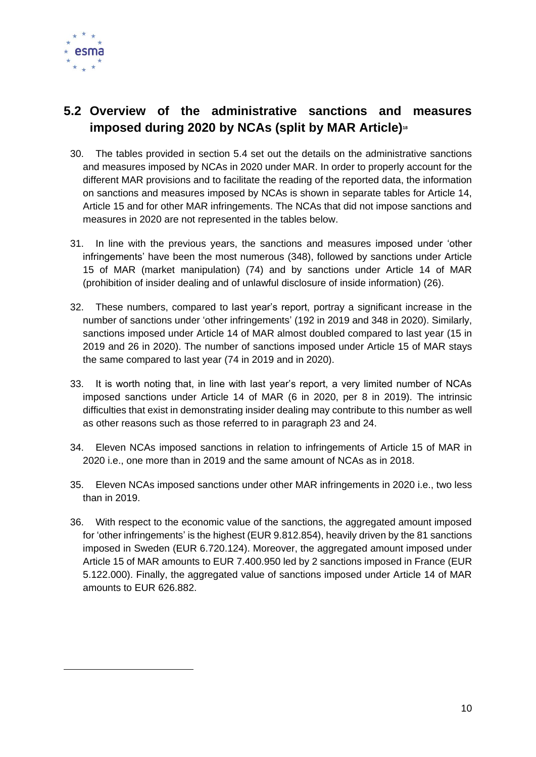

#### <span id="page-10-0"></span>**5.2 Overview of the administrative sanctions and measures imposed during 2020 by NCAs (split by MAR Article)<sup>18</sup>**

- 30. The tables provided in section 5.4 set out the details on the administrative sanctions and measures imposed by NCAs in 2020 under MAR. In order to properly account for the different MAR provisions and to facilitate the reading of the reported data, the information on sanctions and measures imposed by NCAs is shown in separate tables for Article 14, Article 15 and for other MAR infringements. The NCAs that did not impose sanctions and measures in 2020 are not represented in the tables below.
- 31. In line with the previous years, the sanctions and measures imposed under 'other infringements' have been the most numerous (348), followed by sanctions under Article 15 of MAR (market manipulation) (74) and by sanctions under Article 14 of MAR (prohibition of insider dealing and of unlawful disclosure of inside information) (26).
- 32. These numbers, compared to last year's report, portray a significant increase in the number of sanctions under 'other infringements' (192 in 2019 and 348 in 2020). Similarly, sanctions imposed under Article 14 of MAR almost doubled compared to last year (15 in 2019 and 26 in 2020). The number of sanctions imposed under Article 15 of MAR stays the same compared to last year (74 in 2019 and in 2020).
- 33. It is worth noting that, in line with last year's report, a very limited number of NCAs imposed sanctions under Article 14 of MAR (6 in 2020, per 8 in 2019). The intrinsic difficulties that exist in demonstrating insider dealing may contribute to this number as well as other reasons such as those referred to in paragraph 23 and 24.
- 34. Eleven NCAs imposed sanctions in relation to infringements of Article 15 of MAR in 2020 i.e., one more than in 2019 and the same amount of NCAs as in 2018.
- 35. Eleven NCAs imposed sanctions under other MAR infringements in 2020 i.e., two less than in 2019.
- 36. With respect to the economic value of the sanctions, the aggregated amount imposed for 'other infringements' is the highest (EUR 9.812.854), heavily driven by the 81 sanctions imposed in Sweden (EUR 6.720.124). Moreover, the aggregated amount imposed under Article 15 of MAR amounts to EUR 7.400.950 led by 2 sanctions imposed in France (EUR 5.122.000). Finally, the aggregated value of sanctions imposed under Article 14 of MAR amounts to EUR 626.882.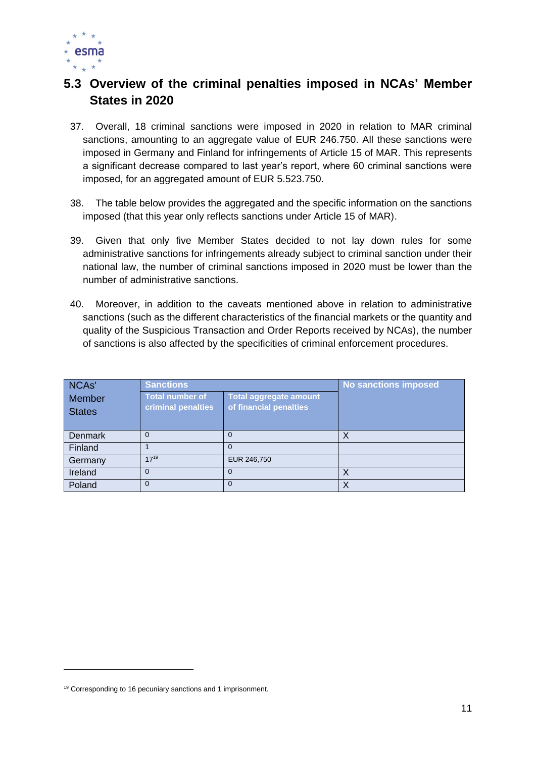

#### <span id="page-11-0"></span>**5.3 Overview of the criminal penalties imposed in NCAs' Member States in 2020**

- 37. Overall, 18 criminal sanctions were imposed in 2020 in relation to MAR criminal sanctions, amounting to an aggregate value of EUR 246.750. All these sanctions were imposed in Germany and Finland for infringements of Article 15 of MAR. This represents a significant decrease compared to last year's report, where 60 criminal sanctions were imposed, for an aggregated amount of EUR 5.523.750.
- 38. The table below provides the aggregated and the specific information on the sanctions imposed (that this year only reflects sanctions under Article 15 of MAR).
- 39. Given that only five Member States decided to not lay down rules for some administrative sanctions for infringements already subject to criminal sanction under their national law, the number of criminal sanctions imposed in 2020 must be lower than the number of administrative sanctions.
- 40. Moreover, in addition to the caveats mentioned above in relation to administrative sanctions (such as the different characteristics of the financial markets or the quantity and quality of the Suspicious Transaction and Order Reports received by NCAs), the number of sanctions is also affected by the specificities of criminal enforcement procedures.

| NCA <sub>s</sub> '      | <b>Sanctions</b>                             |                                                         | <b>No sanctions imposed</b> |
|-------------------------|----------------------------------------------|---------------------------------------------------------|-----------------------------|
| Member<br><b>States</b> | <b>Total number of</b><br>criminal penalties | <b>Total aggregate amount</b><br>of financial penalties |                             |
| <b>Denmark</b>          | $\Omega$                                     | 0                                                       | $\times$                    |
| Finland                 |                                              | $\Omega$                                                |                             |
| Germany                 | $17^{19}$                                    | EUR 246,750                                             |                             |
| Ireland                 | 0                                            | 0                                                       | $\times$                    |
| Poland                  | $\Omega$                                     | $\Omega$                                                | $\times$                    |

<sup>&</sup>lt;sup>19</sup> Corresponding to 16 pecuniary sanctions and 1 imprisonment.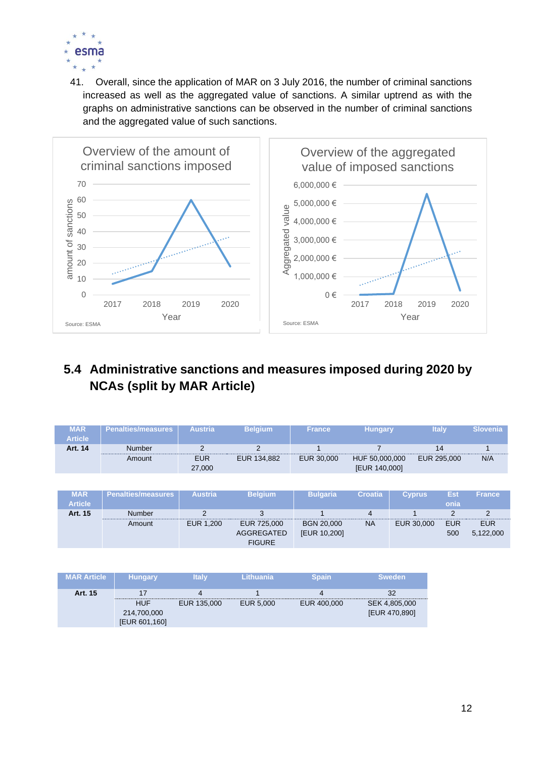

41. Overall, since the application of MAR on 3 July 2016, the number of criminal sanctions increased as well as the aggregated value of sanctions. A similar uptrend as with the graphs on administrative sanctions can be observed in the number of criminal sanctions and the aggregated value of such sanctions.



#### <span id="page-12-0"></span>**5.4 Administrative sanctions and measures imposed during 2020 by NCAs (split by MAR Article)**

| <b>MAR</b><br><b>Article</b> | Penalties/measures | <b>Austria</b>       | <b>Belgium</b> | <b>France</b> | <b>Hungary</b>                  | <b>Italy</b> | <b>Slovenia</b> |
|------------------------------|--------------------|----------------------|----------------|---------------|---------------------------------|--------------|-----------------|
| Art. 14                      | <b>Number</b>      |                      |                |               |                                 |              |                 |
|                              | Amount             | <b>EUR</b><br>27,000 | EUR 134,882    | EUR 30,000    | HUF 50,000,000<br>[EUR 140,000] | EUR 295,000  | N/A             |

| <b>MAR</b><br><b>Article</b> | Penalties/measures | <b>Austria</b> | <b>Belaium</b> | <b>Bulgaria</b>   | Croatia   | <b>Cyprus</b> | Est<br>onia | <b>France</b> |
|------------------------------|--------------------|----------------|----------------|-------------------|-----------|---------------|-------------|---------------|
| Art. 15                      | <b>Number</b>      |                |                |                   |           |               |             |               |
|                              | Amount             | EUR 1,200      | EUR 725,000    | <b>BGN 20.000</b> | <b>NA</b> | EUR 30,000    | <b>EUR</b>  | <b>EUR</b>    |
|                              |                    |                | AGGREGATED     | [EUR 10,200]      |           |               | 500         | 5,122,000     |
|                              |                    |                | <b>FIGURE</b>  |                   |           |               |             |               |

| <b>MAR Article</b> | <b>Hungary</b> | <b>Italy</b> | Lithuania | <b>Spain</b> | <b>Sweden</b> |
|--------------------|----------------|--------------|-----------|--------------|---------------|
| Art. 15            | 17             | Д            |           |              | 32            |
|                    | <b>HUF</b>     | EUR 135,000  | EUR 5,000 | EUR 400,000  | SEK 4,805,000 |
|                    | 214,700,000    |              |           |              | [EUR 470,890] |
|                    | [EUR 601,160]  |              |           |              |               |